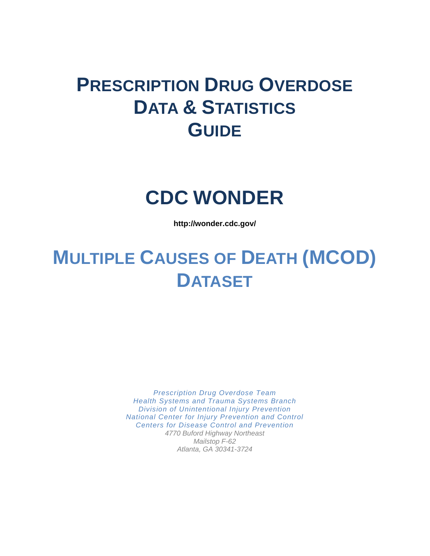# **PRESCRIPTION DRUG OVERDOSE DATA & STATISTICS GUIDE**

# **CDC WONDER**

**<http://wonder.cdc.gov/>**

# **MULTIPLE CAUSES OF DEATH (MCOD) DATASET**

*Prescription Drug Overdose Team Health Systems and Trauma Systems Branch Division of Unintentional Injury Prevention National Center for Injury Prevention and Control Centers for Disease Control and Prevention 4770 Buford Highway Northeast Mailstop F-62 Atlanta, GA 30341-3724*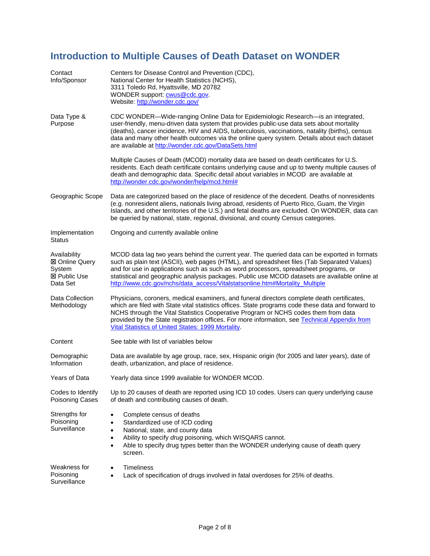## **Introduction to Multiple Causes of Death Dataset on WONDER**

| Contact<br>Info/Sponsor                                                            | Centers for Disease Control and Prevention (CDC),<br>National Center for Health Statistics (NCHS),<br>3311 Toledo Rd, Hyattsville, MD 20782<br>WONDER support: <b>cwus@cdc.gov.</b><br>Website: http://wonder.cdc.gov/                                                                                                                                                                                                                                               |
|------------------------------------------------------------------------------------|----------------------------------------------------------------------------------------------------------------------------------------------------------------------------------------------------------------------------------------------------------------------------------------------------------------------------------------------------------------------------------------------------------------------------------------------------------------------|
| Data Type &<br>Purpose                                                             | CDC WONDER—Wide-ranging Online Data for Epidemiologic Research—is an integrated,<br>user-friendly, menu-driven data system that provides public-use data sets about mortality<br>(deaths), cancer incidence, HIV and AIDS, tuberculosis, vaccinations, natality (births), census<br>data and many other health outcomes via the online query system. Details about each dataset<br>are available at http://wonder.cdc.gov/DataSets.html                              |
|                                                                                    | Multiple Causes of Death (MCOD) mortality data are based on death certificates for U.S.<br>residents. Each death certificate contains underlying cause and up to twenty multiple causes of<br>death and demographic data. Specific detail about variables in MCOD are available at<br>http://wonder.cdc.gov/wonder/help/mcd.html#                                                                                                                                    |
| Geographic Scope                                                                   | Data are categorized based on the place of residence of the decedent. Deaths of nonresidents<br>(e.g. nonresident aliens, nationals living abroad, residents of Puerto Rico, Guam, the Virgin<br>Islands, and other territories of the U.S.) and fetal deaths are excluded. On WONDER, data can<br>be queried by national, state, regional, divisional, and county Census categories.                                                                                |
| Implementation<br>Status                                                           | Ongoing and currently available online                                                                                                                                                                                                                                                                                                                                                                                                                               |
| Availability<br><b>⊠ Online Query</b><br>System<br><b>⊠ Public Use</b><br>Data Set | MCOD data lag two years behind the current year. The queried data can be exported in formats<br>such as plain text (ASCII), web pages (HTML), and spreadsheet files (Tab Separated Values)<br>and for use in applications such as such as word processors, spreadsheet programs, or<br>statistical and geographic analysis packages. Public use MCOD datasets are available online at<br>http://www.cdc.gov/nchs/data_access/Vitalstatsonline.htm#Mortality_Multiple |
| Data Collection<br>Methodology                                                     | Physicians, coroners, medical examiners, and funeral directors complete death certificates,<br>which are filed with State vital statistics offices. State programs code these data and forward to<br>NCHS through the Vital Statistics Cooperative Program or NCHS codes them from data<br>provided by the State registration offices. For more information, see Technical Appendix from<br>Vital Statistics of United States: 1999 Mortality.                       |
| Content                                                                            | See table with list of variables below                                                                                                                                                                                                                                                                                                                                                                                                                               |
| Demographic<br>Information                                                         | Data are available by age group, race, sex, Hispanic origin (for 2005 and later years), date of<br>death, urbanization, and place of residence.                                                                                                                                                                                                                                                                                                                      |
| Years of Data                                                                      | Yearly data since 1999 available for WONDER MCOD                                                                                                                                                                                                                                                                                                                                                                                                                     |
| Codes to Identify<br>Poisoning Cases                                               | Up to 20 causes of death are reported using ICD 10 codes. Users can query underlying cause<br>of death and contributing causes of death.                                                                                                                                                                                                                                                                                                                             |
| Strengths for<br>Poisoning<br>Surveillance                                         | Complete census of deaths<br>$\bullet$<br>Standardized use of ICD coding<br>$\bullet$<br>National, state, and county data<br>$\bullet$<br>Ability to specify drug poisoning, which WISQARS cannot.<br>$\bullet$<br>Able to specify drug types better than the WONDER underlying cause of death query<br>$\bullet$<br>screen.                                                                                                                                         |
| Weakness for<br>Poisoning<br>Surveillance                                          | Timeliness<br>$\bullet$<br>Lack of specification of drugs involved in fatal overdoses for 25% of deaths.<br>$\bullet$                                                                                                                                                                                                                                                                                                                                                |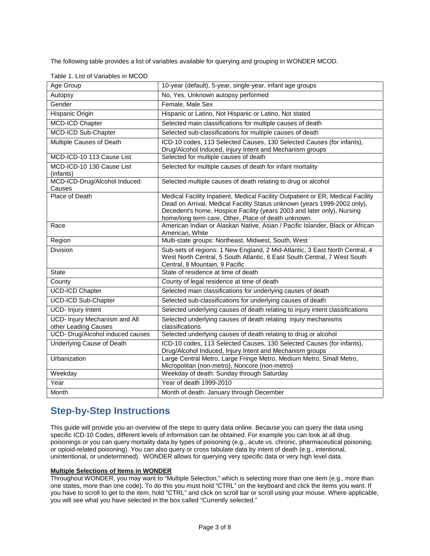The following table provides a list of variables available for querying and grouping in WONDER MCOD.

| Age Group                                             | 10-year (default), 5-year, single-year, infant age groups                                                                                                                                                                                                                                    |
|-------------------------------------------------------|----------------------------------------------------------------------------------------------------------------------------------------------------------------------------------------------------------------------------------------------------------------------------------------------|
| Autopsy                                               | No, Yes, Unknown autopsy performed                                                                                                                                                                                                                                                           |
| Gender                                                | Female, Male Sex                                                                                                                                                                                                                                                                             |
| Hispanic Origin                                       | Hispanic or Latino, Not Hispanic or Latino, Not stated                                                                                                                                                                                                                                       |
| MCD-ICD Chapter                                       | Selected main classifications for multiple causes of death                                                                                                                                                                                                                                   |
| MCD-ICD Sub-Chapter                                   | Selected sub-classifications for multiple causes of death                                                                                                                                                                                                                                    |
| Multiple Causes of Death                              | ICD-10 codes, 113 Selected Causes, 130 Selected Causes (for infants),<br>Drug/Alcohol Induced, Injury Intent and Mechanism groups                                                                                                                                                            |
| MCD-ICD-10 113 Cause List                             | Selected for multiple causes of death                                                                                                                                                                                                                                                        |
| MCD-ICD-10 130 Cause List<br>(infants)                | Selected for multiple causes of death for infant mortality                                                                                                                                                                                                                                   |
| MCD-ICD-Drug/Alcohol Induced<br>Causes                | Selected multiple causes of death relating to drug or alcohol                                                                                                                                                                                                                                |
| Place of Death                                        | Medical Facility Inpatient, Medical Facility Outpatient or ER, Medical Facility<br>Dead on Arrival, Medical Facility Status unknown (years 1999-2002 only),<br>Decedent's home, Hospice Facility (years 2003 and later only), Nursing<br>home/long term care, Other, Place of death unknown. |
| Race                                                  | American Indian or Alaskan Native, Asian / Pacific Islander, Black or African<br>American, White                                                                                                                                                                                             |
| Region                                                | Multi-state groups: Northeast, Midwest, South, West                                                                                                                                                                                                                                          |
| <b>Division</b>                                       | Sub-sets of regions: 1 New England, 2 Mid-Atlantic, 3 East North Central, 4<br>West North Central, 5 South Atlantic, 6 East South Central, 7 West South<br>Central, 8 Mountain, 9 Pacific                                                                                                    |
| <b>State</b>                                          | State of residence at time of death                                                                                                                                                                                                                                                          |
| County                                                | County of legal residence at time of death                                                                                                                                                                                                                                                   |
| <b>UCD-ICD Chapter</b>                                | Selected main classifications for underlying causes of death                                                                                                                                                                                                                                 |
| <b>UCD-ICD Sub-Chapter</b>                            | Selected sub-classifications for underlying causes of death                                                                                                                                                                                                                                  |
| UCD- Injury Intent                                    | Selected underlying causes of death relating to injury intent classifications                                                                                                                                                                                                                |
| UCD- Injury Mechanism and All<br>other Leading Causes | Selected underlying causes of death relating injury mechanisms<br>classifications                                                                                                                                                                                                            |
| UCD- Drug/Alcohol induced causes                      | Selected underlying causes of death relating to drug or alcohol                                                                                                                                                                                                                              |
| Underlying Cause of Death                             | ICD-10 codes, 113 Selected Causes, 130 Selected Causes (for infants),<br>Drug/Alcohol Induced, Injury Intent and Mechanism groups                                                                                                                                                            |
| Urbanization                                          | Large Central Metro, Large Fringe Metro, Medium Metro, Small Metro,<br>Micropolitan (non-metro), Noncore (non-metro)                                                                                                                                                                         |
| Weekday                                               | Weekday of death: Sunday through Saturday                                                                                                                                                                                                                                                    |
| Year                                                  | Year of death 1999-2010                                                                                                                                                                                                                                                                      |
| Month                                                 | Month of death: January through December                                                                                                                                                                                                                                                     |

Table 1. List of Variables in MCOD

### **Step-by-Step Instructions**

This guide will provide you an overview of the steps to query data online. Because you can query the data using specific ICD-10 Codes, different levels of information can be obtained. For example you can look at all drug poisonings or you can query mortality data by types of poisoning (e.g., acute vs. chronic, pharmaceutical poisoning, or opioid-related poisoning). You can also query or cross tabulate data by intent of death (e.g., intentional, unintentional, or undetermined). WONDER allows for querying very specific data or very high level data.

#### **Multiple Selections of Items in WONDER**

Throughout WONDER, you may want to "Multiple Selection," which is selecting more than one item (e.g., more than one states, more than one code). To do this you must hold "CTRL" on the keyboard and click the items you want. If you have to scroll to get to the item, hold "CTRL" and click on scroll bar or scroll using your mouse. Where applicable, you will see what you have selected in the box called "Currently selected."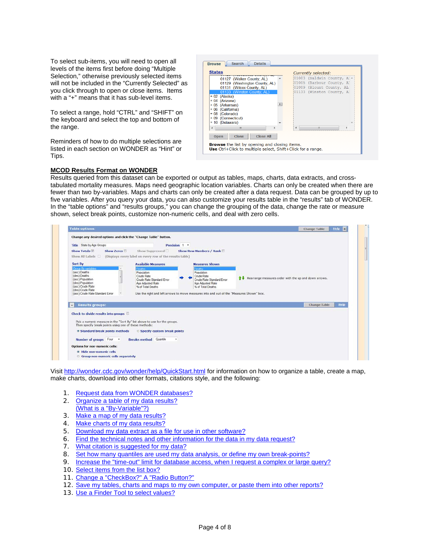To select sub-items, you will need to open all levels of the items first before doing "Multiple Selection," otherwise previously selected items will not be included in the "Currently Selected" as you click through to open or close items. Items with a "+" means that it has sub-level items.

To select a range, hold "CTRL" and "SHIFT" on the keyboard and select the top and bottom of the range.

Reminders of how to do multiple selections are listed in each section on WONDER as "Hint" or Tips.

| <b>States</b>                                   |       |       | Currently selected:       |  |
|-------------------------------------------------|-------|-------|---------------------------|--|
| 01127 (Walker County, AL)                       |       | 01003 | (Baldwin County, Al-      |  |
| 01129 (Washington County, AL)                   |       | 01005 | (Barbour County, Al       |  |
| 01131 (Wilcox County, AL)                       |       | 01009 | (Blount County, AL)       |  |
| 01133 (Winston County, AL)                      |       |       | 01133 (Winston County, Al |  |
| (Alaska)<br>$+02$                               |       |       |                           |  |
| (Arizona)<br>$+04$                              |       |       |                           |  |
| (Arkansas)<br>$+05$                             | $\Xi$ |       |                           |  |
| (California)<br>$+06$                           |       |       |                           |  |
| + 08 (Colorado)                                 |       |       |                           |  |
| + 09 (Connecticut)                              |       |       |                           |  |
| + 10 (Delaware)                                 |       |       |                           |  |
| Ш                                               |       |       |                           |  |
| <b>Close All</b><br><b>Close</b><br><b>Open</b> |       |       |                           |  |

#### **MCOD Results Format on WONDER**

Results queried from this dataset can be exported or output as tables, maps, charts, data extracts, and crosstabulated mortality measures. Maps need geographic location variables. Charts can only be created when there are fewer than two by-variables. Maps and charts can only be created after a data request. Data can be grouped by up to five variables. After you query your data, you can also customize your results table in the "results" tab of WONDER. In the "table options" and "results groups," you can change the grouping of the data, change the rate or measure shown, select break points, customize non-numeric cells, and deal with zero cells.

| Title State by Age Groups                                                     |                                                          | Precision 1 .            |                                                                                          |                                                       |             |
|-------------------------------------------------------------------------------|----------------------------------------------------------|--------------------------|------------------------------------------------------------------------------------------|-------------------------------------------------------|-------------|
| Show Totals<br>Show Zeros                                                     | Show Suppressed                                          |                          |                                                                                          |                                                       |             |
| Show All Labels                                                               |                                                          |                          | <b>Show Row Numbers / Rank ED</b>                                                        |                                                       |             |
|                                                                               | (Displays every label on every row of the results table) |                          |                                                                                          |                                                       |             |
| Sort By                                                                       | <b>Available Measures</b>                                |                          | <b>Measures Shown</b>                                                                    |                                                       |             |
| Group By variables<br>(asc) Deaths                                            | Deaths                                                   |                          | Deaths:                                                                                  |                                                       |             |
| (des) Deaths                                                                  | Population<br>Crude Rate                                 |                          | Population<br>Crude Rate                                                                 |                                                       |             |
| (asc) Population                                                              | Crude Rate Standard Error                                |                          | Crude Rate Standard Error                                                                | Rearrange measures order with the up and down arrows. |             |
| (des) Population<br>(asc) Crude Rate                                          | Age Adjusted Rate<br>% of Total Deaths                   |                          | Age Adjusted Rate<br>% of Total Deaths                                                   |                                                       |             |
| (des) Crude Rate                                                              |                                                          |                          |                                                                                          |                                                       |             |
|                                                                               |                                                          |                          |                                                                                          |                                                       |             |
| (asc) Crude Rate Standard Error                                               |                                                          |                          | Use the right and left arrows to move measures into and out of the "Measures Shown" box. |                                                       |             |
|                                                                               |                                                          |                          |                                                                                          |                                                       |             |
| <b>Results groups:</b>                                                        |                                                          |                          |                                                                                          | <b>Change Table</b>                                   | <b>Help</b> |
|                                                                               |                                                          |                          |                                                                                          |                                                       |             |
|                                                                               |                                                          |                          |                                                                                          |                                                       |             |
| Pick a numeric measure in the "Sort By" list above to use for the groups.     |                                                          |                          |                                                                                          |                                                       |             |
| Then specify break points using one of these methods:                         |                                                          |                          |                                                                                          |                                                       |             |
| Check to divide results into groups<br><b>9 Standard break points methods</b> | <b>Specify custom break points</b>                       |                          |                                                                                          |                                                       |             |
| Number of groups Four<br>$\overline{\phantom{a}}$                             | <b>Breaks method</b> Quantile                            | $\overline{\phantom{a}}$ |                                                                                          |                                                       |             |
| Options for non-numeric cells:                                                |                                                          |                          |                                                                                          |                                                       |             |

Visi[t http://wonder.cdc.gov/wonder/help/QuickStart.html](http://wonder.cdc.gov/wonder/help/QuickStart.html) for information on how to organize a table, create a map, make charts, download into other formats, citations style, and the following:

- 1. [Request data from WONDER databases?](http://wonder.cdc.gov/wonder/help/QuickStart.html#Request)
- 2. [Organize a table of my data results?](http://wonder.cdc.gov/wonder/help/QuickStart.html#Tables)
- [\(What is a "By-Variable"?\)](http://wonder.cdc.gov/wonder/help/QuickStart.html#Tables)  3. [Make a map of my data results?](http://wonder.cdc.gov/wonder/help/QuickStart.html#Maps)
- 4. [Make charts of my data results?](http://wonder.cdc.gov/wonder/help/QuickStart.html#Charts)
- 5. [Download my data extract as a file for use in other software?](http://wonder.cdc.gov/wonder/help/QuickStart.html#Extracts)
- 6. [Find the technical notes and other information for the data in my data request?](http://wonder.cdc.gov/wonder/help/QuickStart.html#Information)
- 7. [What citation is suggested for my data?](http://wonder.cdc.gov/wonder/help/QuickStart.html#Citation)
- 8. [Set how many quantiles are used my data analysis, or define my own break-points?](http://wonder.cdc.gov/wonder/help/QuickStart.html#Quantiles)
- 9. [Increase the "time-out" limit for database access, when I request a complex or large query?](http://wonder.cdc.gov/wonder/help/QuickStart.html#Time-Out)
- 10. [Select items from the list box?](http://wonder.cdc.gov/wonder/help/QuickStart.html#Selections)
- 11. [Change a "CheckBox?" A "Radio Button?"](http://wonder.cdc.gov/wonder/help/QuickStart.html#CheckBox)
- 12. [Save my tables, charts and maps to my own computer, or paste them into other reports?](http://wonder.cdc.gov/wonder/help/QuickStart.html#Save)
- 13. [Use a Finder Tool to select values?](http://wonder.cdc.gov/wonder/help/QuickStart.html#Finder)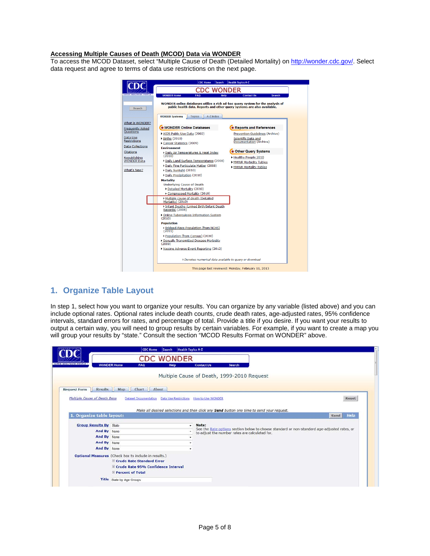#### **Accessing Multiple Causes of Death (MCOD) Data via WONDER**

To access the MCOD Dataset, select "Multiple Cause of Death (Detailed Mortality) o[n http://wonder.cdc.gov/.](http://wonder.cdc.gov/) Select data request and agree to terms of data use restrictions on the next page.



#### **1. Organize Table Layout**

In step 1, select how you want to organize your results. You can organize by any variable (listed above) and you can include optional rates. Optional rates include death counts, crude death rates, age-adjusted rates, 95% confidence intervals, standard errors for rates, and percentage of total. Provide a title if you desire. If you want your results to output a certain way, you will need to group results by certain variables. For example, if you want to create a map you will group your results by "state." Consult the section "MCOD Results Format on WONDER" above.

|                                       | Search<br><b>Health Topics A-Z</b><br><b>CDC Home</b>           |   |                                                                                                       |      |       |
|---------------------------------------|-----------------------------------------------------------------|---|-------------------------------------------------------------------------------------------------------|------|-------|
|                                       | <b>CDC WONDER</b>                                               |   |                                                                                                       |      |       |
| SAFER-HEALTHIER-PEOPLE                | <b>WONDER Home</b><br>FAQ<br>Help                               |   | <b>Contact Us</b><br><b>Search</b>                                                                    |      |       |
|                                       |                                                                 |   | Multiple Cause of Death, 1999-2010 Request                                                            |      |       |
| <b>Results</b><br><b>Request Form</b> | Chart  <br>About<br>Map                                         |   |                                                                                                       |      |       |
| Multiple Cause of Death Data          | Dataset Documentation  Data Use Restrictions  How to Use WONDER |   |                                                                                                       |      | Reset |
|                                       |                                                                 |   |                                                                                                       |      |       |
|                                       |                                                                 |   |                                                                                                       |      |       |
|                                       |                                                                 |   | Make all desired selections and then click any Send button one time to send your request.             |      |       |
| 1. Organize table layout:             |                                                                 |   |                                                                                                       | Send | Help  |
|                                       |                                                                 |   |                                                                                                       |      |       |
| <b>Group Results By State</b>         |                                                                 | ۰ | Note:<br>See the Rate options section below to choose standard or non-standard age-adjusted rates, or |      |       |
| And By None<br>And By None            |                                                                 |   | to adjust the number rates are calculated for.                                                        |      |       |
| And By None                           |                                                                 |   |                                                                                                       |      |       |
| And By None                           |                                                                 |   |                                                                                                       |      |       |
|                                       | Optional Measures (Check box to include in results.)            |   |                                                                                                       |      |       |
|                                       | <b>Z Crude Rate Standard Error</b>                              |   |                                                                                                       |      |       |
|                                       | Crude Rate 95% Confidence Interval                              |   |                                                                                                       |      |       |
|                                       | <b>2</b> Percent of Total                                       |   |                                                                                                       |      |       |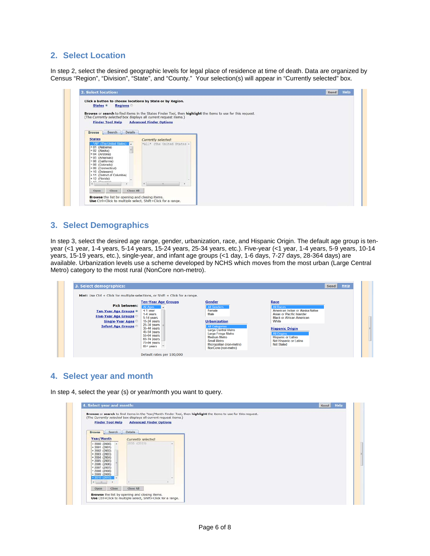#### **2. Select Location**

In step 2, select the desired geographic levels for legal place of residence at time of death. Data are organized by Census "Region", "Division", "State", and "County." Your selection(s) will appear in "Currently selected" box.

| 2. Select location:                             |                                                                                                             | Help<br>Send |
|-------------------------------------------------|-------------------------------------------------------------------------------------------------------------|--------------|
|                                                 | Click a button to choose locations by State or by Region.                                                   |              |
| States <sup>®</sup>                             | <b>Regions</b>                                                                                              |              |
|                                                 | Browse or search to find items in the States Finder Tool, then highlight the items to use for this request. |              |
|                                                 | (The Currently selected box displays all current request items.)                                            |              |
| <b>Finder Tool Help</b>                         | <b>Advanced Finder Options</b>                                                                              |              |
|                                                 |                                                                                                             |              |
| Search<br><b>Browse</b>                         | Details                                                                                                     |              |
| <b>States</b>                                   | Currently selected:                                                                                         |              |
| "All" (The United States)                       | *All* (The United States +                                                                                  |              |
| $+01$ (Alabama)                                 |                                                                                                             |              |
| $+02$ (Alaska)<br>$+04$ (Arizona)               |                                                                                                             |              |
| + 05 (Arkansas)                                 |                                                                                                             |              |
| + 06 (California)                               |                                                                                                             |              |
| + 08 (Colorado)<br>+ 09 (Connecticut)           |                                                                                                             |              |
| + 10 (Delaware)                                 |                                                                                                             |              |
| + 11 (District of Columbia)<br>$+ 12$ (Florida) |                                                                                                             |              |
| 49 (Cannain)                                    |                                                                                                             |              |
|                                                 | ٠                                                                                                           |              |
| Close<br>Open                                   | Close All                                                                                                   |              |
|                                                 | Browse the list by opening and closing items.                                                               |              |
|                                                 | Use Ctrl+Click to multiple select, Shift+Click for a range.                                                 |              |

#### **3. Select Demographics**

In step 3, select the desired age range, gender, urbanization, race, and Hispanic Origin. The default age group is tenyear (<1 year, 1-4 years, 5-14 years, 15-24 years, 25-34 years, etc.). Five-year (<1 year, 1-4 years, 5-9 years, 10-14 years, 15-19 years, etc.), single-year, and infant age groups (<1 day, 1-6 days, 7-27 days, 28-364 days) are available. Urbanization levels use a scheme developed by NCHS which moves from the most urban (Large Central Metro) category to the most rural (NonCore non-metro).

| Hint: Use Ctrl + Click for multiple selections, or Shift + Click for a range. |                            |                                    |                                                     |  |
|-------------------------------------------------------------------------------|----------------------------|------------------------------------|-----------------------------------------------------|--|
|                                                                               | <b>Ten-Year Age Groups</b> | Gender                             | Race                                                |  |
| <b>Pick between:</b>                                                          | All Ages                   | <b>All Genders</b>                 | <b>All Races</b>                                    |  |
| <b>Ten-Year Age Groups ®</b>                                                  | $\leq 1$ year              | Female                             | American Indian or Alaska Native                    |  |
| <b>Five-Year Age Groups</b>                                                   | 1-4 years                  | Male                               | Asian or Pacific Islander                           |  |
|                                                                               | 5-14 years                 |                                    | <b>Black or African American</b>                    |  |
| <b>Single-Year Ages</b>                                                       | 15-24 years                | <b>Urbanization</b>                | White                                               |  |
| <b>Infant Age Groups</b>                                                      | 25-34 years<br>35-44 years | All Categories                     | <b>Hispanic Origin</b>                              |  |
|                                                                               | 45-54 years                | Large Central Metro                |                                                     |  |
|                                                                               | 55-64 years                | Large Fringe Metro                 | <b>All Origins</b>                                  |  |
|                                                                               | 65-74 years                | <b>Medium Metro</b><br>Small Metro | <b>Hispanic or Latino</b><br>Not Hispanic or Latino |  |
|                                                                               | 75-84 years                | Micropolitan (non-metro)           | <b>Not Stated</b>                                   |  |

### **4. Select year and month**

In step 4, select the year (s) or year/month you want to query.

| <b>Finder Tool Help</b>                                                                                                                                                                    | <b>Advanced Finder Options</b> |  |
|--------------------------------------------------------------------------------------------------------------------------------------------------------------------------------------------|--------------------------------|--|
| Search<br>Browse                                                                                                                                                                           | Details                        |  |
| Year/Month                                                                                                                                                                                 | Currently selected:            |  |
| $+2000(2000)$<br>$+2001(2001)$<br>$+2002$ (2002)<br>$+2003(2003)$<br>$+2004(2004)$<br>$-2005$ (2005)<br>$2006$ (2006)<br>$-2007$ (2007)<br>$-2008$ (2008)<br>$-2009$ (2009)<br>2010 (2010) | 2010 (2010)                    |  |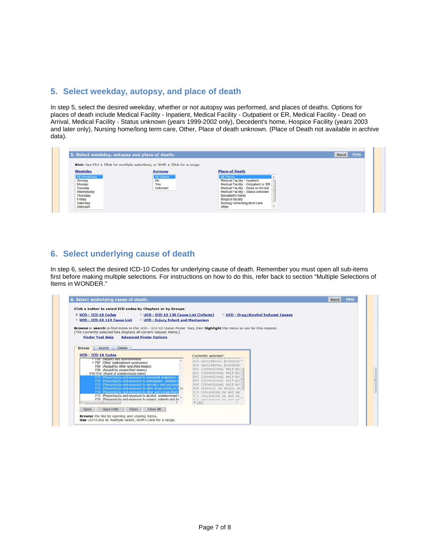#### **5. Select weekday, autopsy, and place of death**

In step 5, select the desired weekday, whether or not autopsy was performed, and places of deaths. Options for places of death include Medical Facility - Inpatient, Medical Facility - Outpatient or ER, Medical Facility - Dead on Arrival, Medical Facility - Status unknown (years 1999-2002 only), Decedent's home, Hospice Facility (years 2003 and later only), Nursing home/long term care, Other, Place of death unknown. (Place of Death not available in archive data).

| Weekday                                                                                               | Hint: Use Ctrl + Click for multiple selections, or Shift + Click for a range.<br><b>Autopsy</b> | <b>Place of Death</b>                                                                                                                                                                                                                              |  |
|-------------------------------------------------------------------------------------------------------|-------------------------------------------------------------------------------------------------|----------------------------------------------------------------------------------------------------------------------------------------------------------------------------------------------------------------------------------------------------|--|
| All Weekdays<br>Sunday<br>Monday<br>Tuesday<br>Wednesday<br>Thursday<br>Friday<br>Saturday<br>Unknown | All Values<br>No<br>Yes<br>Unknown                                                              | <b>All Places</b><br>Medical Facility - Inpatient<br>Medical Facility - Outpatient or ER<br>Medical Facility - Dead on Arrival<br>Medical Facility - Status unknown<br>Decedent's home<br>Hospice facility<br>Nursing home/long term care<br>Other |  |

### **6. Select underlying cause of death**

In step 6, select the desired ICD-10 Codes for underlying cause of death. Remember you must open all sub-items first before making multiple selections. For instructions on how to do this, refer back to section "Multiple Selections of Items in WONDER."

| <b>© UCD - ICD-10 Codes</b><br>UCD - ICD-10 130 Cause List (Infants)                                                                                                                                                                                                                    | <b><i>O UCD - Drug/Alcohol Induced Causes</i></b>       |  |
|-----------------------------------------------------------------------------------------------------------------------------------------------------------------------------------------------------------------------------------------------------------------------------------------|---------------------------------------------------------|--|
| UCD - ICD-10 113 Cause List<br><b><i>O</i></b> UCD - Injury Intent and Mechanism                                                                                                                                                                                                        |                                                         |  |
| Browse or search to find items in the UCD - ICD-10 Codes Finder Tool, then highlight the items to use for this request.<br>(The Currently selected box displays all current request items.)<br><b>Advanced Finder Options</b><br><b>Finder Tool Help</b><br>Details<br>Search<br>Browse |                                                         |  |
| <b>UCD - ICD-10 Codes</b>                                                                                                                                                                                                                                                               | Currently selected:                                     |  |
| * Y06 tryediect and apandonment)<br>+ Y07 (Other maltreatment syndromes)                                                                                                                                                                                                                | X43 (Accidental poisonin *<br>X44 (Accidental poisonin- |  |
| Y08 (Assault by other specified means)<br>Y09 (Assault by unspecified means)                                                                                                                                                                                                            | X60 (Intentional self-po)                               |  |
| - Y10-Y34 (Event of undetermined intent)<br>Y10 (Poisoning by and exposure to nonopioid analgesics)                                                                                                                                                                                     | X61 (Intentional self-po)<br>X62 (Intentional self-po)  |  |
| Y11 (Poisoning by and exposure to antiepileptic, sedative-                                                                                                                                                                                                                              | X63 (Intentional self-po)<br>X64 (Intentional self-po)  |  |
| Y12 (Poisoning by and exposure to narcotics and psychod<br>Y13 (Poisoning by and exposure to other drugs acting on the                                                                                                                                                                  | X85 (Assault by drugs, m                                |  |
| Y14 (Poisoning by and exposure to other and unspecified of<br>Y15 (Poisoning by and exposure to alcohol, undetermined i                                                                                                                                                                 | Y10 (Poisoning by and ex-<br>Yll (Poisoning by and ex   |  |
| Y16. (Poisoning by and exposure to organic solvents and hall                                                                                                                                                                                                                            | V12 (Dolensing his and av                               |  |
| ٠                                                                                                                                                                                                                                                                                       |                                                         |  |